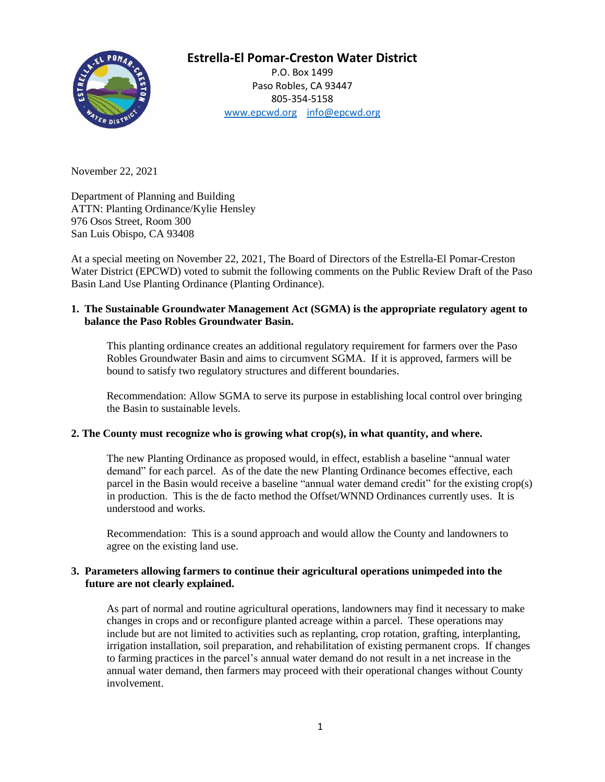

# **Estrella-El Pomar-Creston Water District**

P.O. Box 1499 Paso Robles, CA 93447 805-354-5158 [www.epcwd.org](http://www.epcwd.org/) [info@epcwd.org](mailto:info@epcwd.org)

November 22, 2021

Department of Planning and Building ATTN: Planting Ordinance/Kylie Hensley 976 Osos Street, Room 300 San Luis Obispo, CA 93408

At a special meeting on November 22, 2021, The Board of Directors of the Estrella-El Pomar-Creston Water District (EPCWD) voted to submit the following comments on the Public Review Draft of the Paso Basin Land Use Planting Ordinance (Planting Ordinance).

## **1. The Sustainable Groundwater Management Act (SGMA) is the appropriate regulatory agent to balance the Paso Robles Groundwater Basin.**

This planting ordinance creates an additional regulatory requirement for farmers over the Paso Robles Groundwater Basin and aims to circumvent SGMA. If it is approved, farmers will be bound to satisfy two regulatory structures and different boundaries.

Recommendation: Allow SGMA to serve its purpose in establishing local control over bringing the Basin to sustainable levels.

## **2. The County must recognize who is growing what crop(s), in what quantity, and where.**

The new Planting Ordinance as proposed would, in effect, establish a baseline "annual water demand" for each parcel. As of the date the new Planting Ordinance becomes effective, each parcel in the Basin would receive a baseline "annual water demand credit" for the existing crop(s) in production. This is the de facto method the Offset/WNND Ordinances currently uses. It is understood and works.

Recommendation: This is a sound approach and would allow the County and landowners to agree on the existing land use.

## **3. Parameters allowing farmers to continue their agricultural operations unimpeded into the future are not clearly explained.**

As part of normal and routine agricultural operations, landowners may find it necessary to make changes in crops and or reconfigure planted acreage within a parcel. These operations may include but are not limited to activities such as replanting, crop rotation, grafting, interplanting, irrigation installation, soil preparation, and rehabilitation of existing permanent crops. If changes to farming practices in the parcel's annual water demand do not result in a net increase in the annual water demand, then farmers may proceed with their operational changes without County involvement.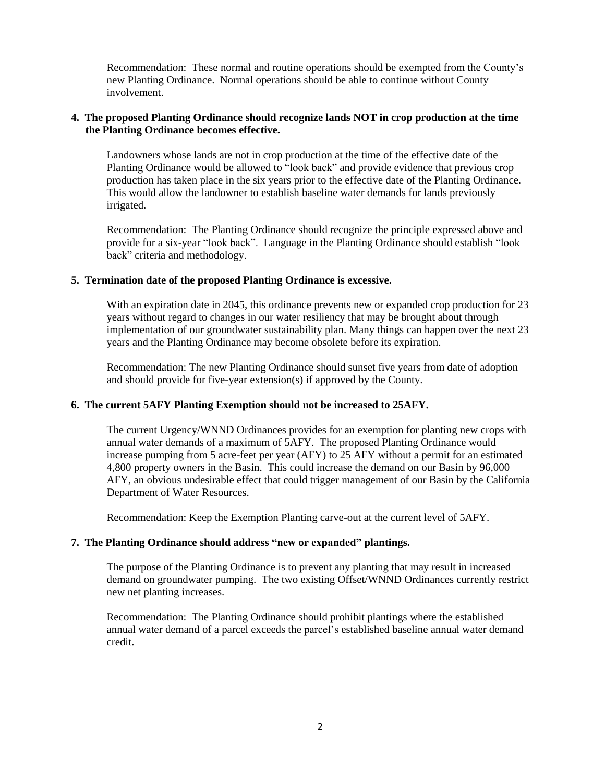Recommendation: These normal and routine operations should be exempted from the County's new Planting Ordinance. Normal operations should be able to continue without County involvement.

## **4. The proposed Planting Ordinance should recognize lands NOT in crop production at the time the Planting Ordinance becomes effective.**

Landowners whose lands are not in crop production at the time of the effective date of the Planting Ordinance would be allowed to "look back" and provide evidence that previous crop production has taken place in the six years prior to the effective date of the Planting Ordinance. This would allow the landowner to establish baseline water demands for lands previously irrigated.

Recommendation: The Planting Ordinance should recognize the principle expressed above and provide for a six-year "look back". Language in the Planting Ordinance should establish "look back" criteria and methodology.

## **5. Termination date of the proposed Planting Ordinance is excessive.**

With an expiration date in 2045, this ordinance prevents new or expanded crop production for 23 years without regard to changes in our water resiliency that may be brought about through implementation of our groundwater sustainability plan. Many things can happen over the next 23 years and the Planting Ordinance may become obsolete before its expiration.

Recommendation: The new Planting Ordinance should sunset five years from date of adoption and should provide for five-year extension(s) if approved by the County.

#### **6. The current 5AFY Planting Exemption should not be increased to 25AFY.**

The current Urgency/WNND Ordinances provides for an exemption for planting new crops with annual water demands of a maximum of 5AFY. The proposed Planting Ordinance would increase pumping from 5 acre-feet per year (AFY) to 25 AFY without a permit for an estimated 4,800 property owners in the Basin. This could increase the demand on our Basin by 96,000 AFY, an obvious undesirable effect that could trigger management of our Basin by the California Department of Water Resources.

Recommendation: Keep the Exemption Planting carve-out at the current level of 5AFY.

#### **7. The Planting Ordinance should address "new or expanded" plantings.**

The purpose of the Planting Ordinance is to prevent any planting that may result in increased demand on groundwater pumping. The two existing Offset/WNND Ordinances currently restrict new net planting increases.

Recommendation: The Planting Ordinance should prohibit plantings where the established annual water demand of a parcel exceeds the parcel's established baseline annual water demand credit.